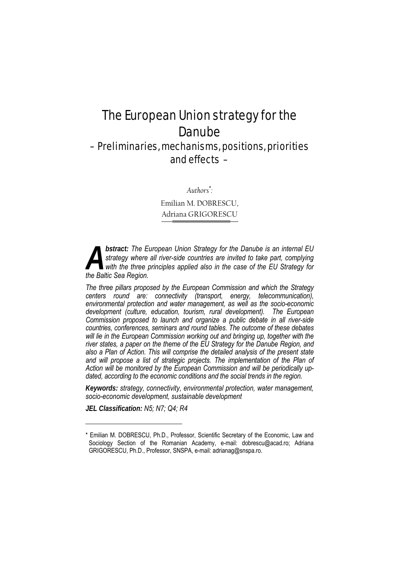# The European Union strategy for the Danube

# – Preliminaries, mechanisms, positions, priorities and effects –

*Authors\* :* 

Emilian M. DOBRESCU, Adriana GRIGORESCU

*bstract: The European Union Strategy for the Danube is an internal EU strategy where all river-side countries are invited to take part, complying*  with the three principles applied also in the case of the EU Strategy for **bstract:** The Eustrategy where with the three position.

*The three pillars proposed by the European Commission and which the Strategy centers round are: connectivity (transport, energy, telecommunication), environmental protection and water management, as well as the socio-economic development (culture, education, tourism, rural development). The European Commission proposed to launch and organize a public debate in all river-side countries, conferences, seminars and round tables. The outcome of these debates*  will lie in the European Commission working out and bringing up, together with the *river states, a paper on the theme of the EU Strategy for the Danube Region, and also a Plan of Action. This will comprise the detailed analysis of the present state*  and will propose a list of strategic projects. The implementation of the Plan of *Action will be monitored by the European Commission and will be periodically updated, according to the economic conditions and the social trends in the region.* 

*Keywords: strategy, connectivity, environmental protection, water management, socio-economic development, sustainable development*

*JEL Classification: N5; N7; Q4; R4* 

l

<sup>\*</sup> Emilian M. DOBRESCU, Ph.D., Professor, Scientific Secretary of the Economic, Law and Sociology Section of the Romanian Academy, e-mail: dobrescu@acad.ro; Adriana GRIGORESCU, Ph.D., Professor, SNSPA, e-mail: adrianag@snspa.ro.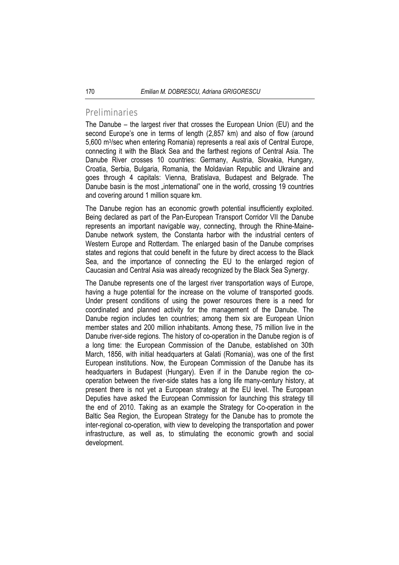### Preliminaries

The Danube – the largest river that crosses the European Union (EU) and the second Europe's one in terms of length (2,857 km) and also of flow (around 5,600 m3/sec when entering Romania) represents a real axis of Central Europe, connecting it with the Black Sea and the farthest regions of Central Asia. The Danube River crosses 10 countries: Germany, Austria, Slovakia, Hungary, Croatia, Serbia, Bulgaria, Romania, the Moldavian Republic and Ukraine and goes through 4 capitals: Vienna, Bratislava, Budapest and Belgrade. The Danube basin is the most "international" one in the world, crossing 19 countries and covering around 1 million square km.

The Danube region has an economic growth potential insufficiently exploited. Being declared as part of the Pan-European Transport Corridor VII the Danube represents an important navigable way, connecting, through the Rhine-Maine-Danube network system, the Constanta harbor with the industrial centers of Western Europe and Rotterdam. The enlarged basin of the Danube comprises states and regions that could benefit in the future by direct access to the Black Sea, and the importance of connecting the EU to the enlarged region of Caucasian and Central Asia was already recognized by the Black Sea Synergy.

The Danube represents one of the largest river transportation ways of Europe, having a huge potential for the increase on the volume of transported goods. Under present conditions of using the power resources there is a need for coordinated and planned activity for the management of the Danube. The Danube region includes ten countries; among them six are European Union member states and 200 million inhabitants. Among these, 75 million live in the Danube river-side regions. The history of co-operation in the Danube region is of a long time: the European Commission of the Danube, established on 30th March, 1856, with initial headquarters at Galati (Romania), was one of the first European institutions. Now, the European Commission of the Danube has its headquarters in Budapest (Hungary). Even if in the Danube region the cooperation between the river-side states has a long life many-century history, at present there is not yet a European strategy at the EU level. The European Deputies have asked the European Commission for launching this strategy till the end of 2010. Taking as an example the Strategy for Co-operation in the Baltic Sea Region, the European Strategy for the Danube has to promote the inter-regional co-operation, with view to developing the transportation and power infrastructure, as well as, to stimulating the economic growth and social development.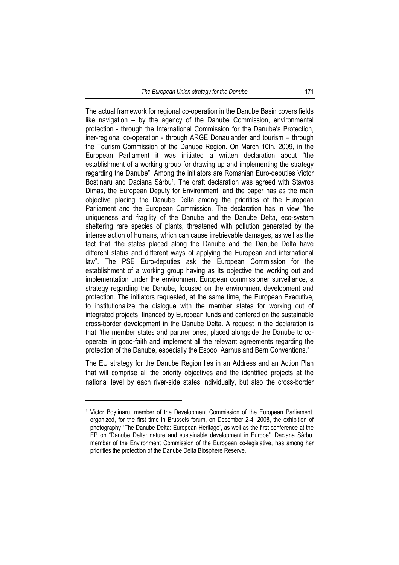The actual framework for regional co-operation in the Danube Basin covers fields like navigation – by the agency of the Danube Commission, environmental protection - through the International Commission for the Danube's Protection, iner-regional co-operation - through ARGE Donaulander and tourism – through the Tourism Commission of the Danube Region. On March 10th, 2009, in the European Parliament it was initiated a written declaration about "the establishment of a working group for drawing up and implementing the strategy regarding the Danube". Among the initiators are Romanian Euro-deputies Victor Bostinaru and Daciana Sârbu<sup>1</sup>. The draft declaration was agreed with Stavros Dimas, the European Deputy for Environment, and the paper has as the main objective placing the Danube Delta among the priorities of the European Parliament and the European Commission. The declaration has in view "the uniqueness and fragility of the Danube and the Danube Delta, eco-system sheltering rare species of plants, threatened with pollution generated by the intense action of humans, which can cause irretrievable damages, as well as the fact that "the states placed along the Danube and the Danube Delta have different status and different ways of applying the European and international law". The PSE Euro-deputies ask the European Commission for the establishment of a working group having as its objective the working out and implementation under the environment European commissioner surveillance, a strategy regarding the Danube, focused on the environment development and protection. The initiators requested, at the same time, the European Executive, to institutionalize the dialogue with the member states for working out of integrated projects, financed by European funds and centered on the sustainable cross-border development in the Danube Delta. A request in the declaration is that "the member states and partner ones, placed alongside the Danube to cooperate, in good-faith and implement all the relevant agreements regarding the protection of the Danube, especially the Espoo, Aarhus and Bern Conventions."

The EU strategy for the Danube Region lies in an Address and an Action Plan that will comprise all the priority objectives and the identified projects at the national level by each river-side states individually, but also the cross-border

l

<sup>1</sup> Victor Boştinaru, member of the Development Commission of the European Parliament, organized, for the first time in Brussels forum, on December 2-4, 2008, the exhibition of photography "The Danube Delta: European Heritage', as well as the first conference at the EP on "Danube Delta: nature and sustainable development in Europe". Daciana Sârbu, member of the Environment Commission of the European co-legislative, has among her priorities the protection of the Danube Delta Biosphere Reserve.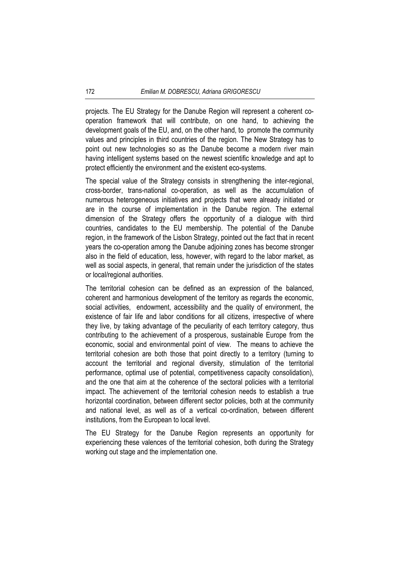projects. The EU Strategy for the Danube Region will represent a coherent cooperation framework that will contribute, on one hand, to achieving the development goals of the EU, and, on the other hand, to promote the community values and principles in third countries of the region. The New Strategy has to point out new technologies so as the Danube become a modern river main having intelligent systems based on the newest scientific knowledge and apt to protect efficiently the environment and the existent eco-systems.

The special value of the Strategy consists in strengthening the inter-regional, cross-border, trans-national co-operation, as well as the accumulation of numerous heterogeneous initiatives and projects that were already initiated or are in the course of implementation in the Danube region. The external dimension of the Strategy offers the opportunity of a dialogue with third countries, candidates to the EU membership. The potential of the Danube region, in the framework of the Lisbon Strategy, pointed out the fact that in recent years the co-operation among the Danube adjoining zones has become stronger also in the field of education, less, however, with regard to the labor market, as well as social aspects, in general, that remain under the jurisdiction of the states or local/regional authorities.

The territorial cohesion can be defined as an expression of the balanced, coherent and harmonious development of the territory as regards the economic, social activities, endowment, accessibility and the quality of environment, the existence of fair life and labor conditions for all citizens, irrespective of where they live, by taking advantage of the peculiarity of each territory category, thus contributing to the achievement of a prosperous, sustainable Europe from the economic, social and environmental point of view. The means to achieve the territorial cohesion are both those that point directly to a territory (turning to account the territorial and regional diversity, stimulation of the territorial performance, optimal use of potential, competitiveness capacity consolidation), and the one that aim at the coherence of the sectoral policies with a territorial impact. The achievement of the territorial cohesion needs to establish a true horizontal coordination, between different sector policies, both at the community and national level, as well as of a vertical co-ordination, between different institutions, from the European to local level.

The EU Strategy for the Danube Region represents an opportunity for experiencing these valences of the territorial cohesion, both during the Strategy working out stage and the implementation one.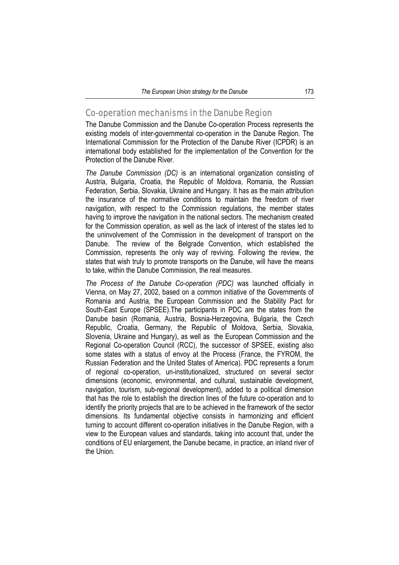# Co-operation mechanisms in the Danube Region

The Danube Commission and the Danube Co-operation Process represents the existing models of inter-governmental co-operation in the Danube Region. The International Commission for the Protection of the Danube River (ICPDR) is an international body established for the implementation of the Convention for the Protection of the Danube River.

*The Danube Commission (DC)* is an international organization consisting of Austria, Bulgaria, Croatia, the Republic of Moldova, Romania, the Russian Federation, Serbia, Slovakia, Ukraine and Hungary. It has as the main attribution the insurance of the normative conditions to maintain the freedom of river navigation, with respect to the Commission regulations, the member states having to improve the navigation in the national sectors. The mechanism created for the Commission operation, as well as the lack of interest of the states led to the uninvolvement of the Commission in the development of transport on the Danube. The review of the Belgrade Convention, which established the Commission, represents the only way of reviving. Following the review, the states that wish truly to promote transports on the Danube, will have the means to take, within the Danube Commission, the real measures.

*The Process of the Danube Co-operation (PDC)* was launched officially in Vienna, on May 27, 2002, based on a common initiative of the Governments of Romania and Austria, the European Commission and the Stability Pact for South-East Europe (SPSEE).The participants in PDC are the states from the Danube basin (Romania, Austria, Bosnia-Herzegovina, Bulgaria, the Czech Republic, Croatia, Germany, the Republic of Moldova, Serbia, Slovakia, Slovenia, Ukraine and Hungary), as well as the European Commission and the Regional Co-operation Council (RCC), the successor of SPSEE, existing also some states with a status of envoy at the Process (France, the FYROM, the Russian Federation and the United States of America). PDC represents a forum of regional co-operation, un-institutionalized, structured on several sector dimensions (economic, environmental, and cultural, sustainable development, navigation, tourism, sub-regional development), added to a political dimension that has the role to establish the direction lines of the future co-operation and to identify the priority projects that are to be achieved in the framework of the sector dimensions. Its fundamental objective consists in harmonizing and efficient turning to account different co-operation initiatives in the Danube Region, with a view to the European values and standards, taking into account that, under the conditions of EU enlargement, the Danube became, in practice, an inland river of the Union.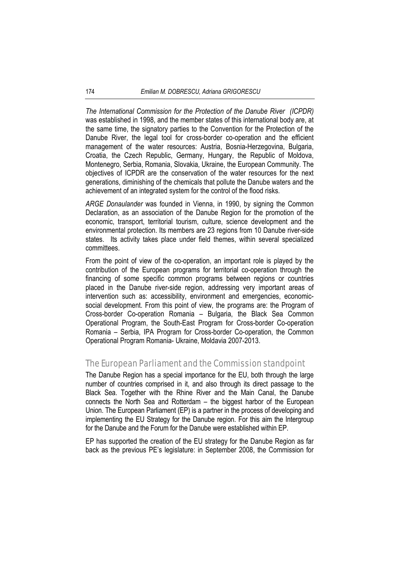*The International Commission for the Protection of the Danube River (ICPDR)* was established in 1998, and the member states of this international body are, at the same time, the signatory parties to the Convention for the Protection of the Danube River, the legal tool for cross-border co-operation and the efficient management of the water resources: Austria, Bosnia-Herzegovina, Bulgaria, Croatia, the Czech Republic, Germany, Hungary, the Republic of Moldova, Montenegro, Serbia, Romania, Slovakia, Ukraine, the European Community. The objectives of ICPDR are the conservation of the water resources for the next generations, diminishing of the chemicals that pollute the Danube waters and the achievement of an integrated system for the control of the flood risks.

*ARGE Donaulander* was founded in Vienna, in 1990, by signing the Common Declaration, as an association of the Danube Region for the promotion of the economic, transport, territorial tourism, culture, science development and the environmental protection. Its members are 23 regions from 10 Danube river-side states. Its activity takes place under field themes, within several specialized committees.

From the point of view of the co-operation, an important role is played by the contribution of the European programs for territorial co-operation through the financing of some specific common programs between regions or countries placed in the Danube river-side region, addressing very important areas of intervention such as: accessibility, environment and emergencies, economicsocial development. From this point of view, the programs are: the Program of Cross-border Co-operation Romania – Bulgaria, the Black Sea Common Operational Program, the South-East Program for Cross-border Co-operation Romania – Serbia, IPA Program for Cross-border Co-operation, the Common Operational Program Romania- Ukraine, Moldavia 2007-2013.

# The European Parliament and the Commission standpoint

The Danube Region has a special importance for the EU, both through the large number of countries comprised in it, and also through its direct passage to the Black Sea. Together with the Rhine River and the Main Canal, the Danube connects the North Sea and Rotterdam – the biggest harbor of the European Union. The European Parliament (EP) is a partner in the process of developing and implementing the EU Strategy for the Danube region. For this aim the Intergroup for the Danube and the Forum for the Danube were established within EP.

EP has supported the creation of the EU strategy for the Danube Region as far back as the previous PE's legislature: in September 2008, the Commission for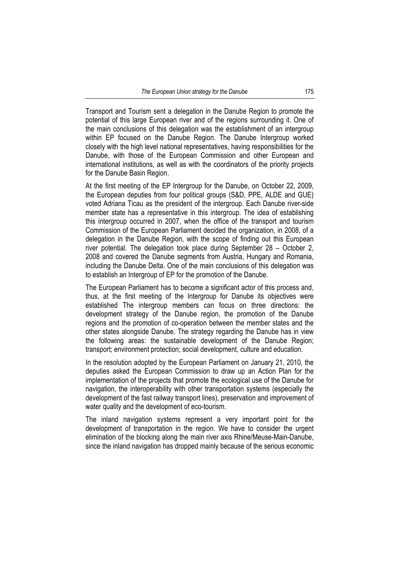Transport and Tourism sent a delegation in the Danube Region to promote the potential of this large European river and of the regions surrounding it. One of the main conclusions of this delegation was the establishment of an intergroup within EP focused on the Danube Region. The Danube Intergroup worked closely with the high level national representatives, having responsibilities for the Danube, with those of the European Commission and other European and international institutions, as well as with the coordinators of the priority projects for the Danube Basin Region.

At the first meeting of the EP Intergroup for the Danube, on October 22, 2009, the European deputies from four political groups (S&D, PPE, ALDE and GUE) voted Adriana Ticau as the president of the intergroup. Each Danube river-side member state has a representative in this intergroup. The idea of establishing this intergroup occurred in 2007, when the office of the transport and tourism Commission of the European Parliament decided the organization, in 2008, of a delegation in the Danube Region, with the scope of finding out this European river potential. The delegation took place during September 28 – October 2, 2008 and covered the Danube segments from Austria, Hungary and Romania, including the Danube Delta. One of the main conclusions of this delegation was to establish an Intergroup of EP for the promotion of the Danube.

The European Parliament has to become a significant actor of this process and, thus, at the first meeting of the Intergroup for Danube its objectives were established The intergroup members can focus on three directions: the development strategy of the Danube region, the promotion of the Danube regions and the promotion of co-operation between the member states and the other states alongside Danube. The strategy regarding the Danube has in view the following areas: the sustainable development of the Danube Region; transport; environment protection; social development, culture and education.

In the resolution adopted by the European Parliament on January 21, 2010, the deputies asked the European Commission to draw up an Action Plan for the implementation of the projects that promote the ecological use of the Danube for navigation, the interoperability with other transportation systems (especially the development of the fast railway transport lines), preservation and improvement of water quality and the development of eco-tourism.

The inland navigation systems represent a very important point for the development of transportation in the region. We have to consider the urgent elimination of the blocking along the main river axis Rhine/Meuse-Main-Danube, since the inland navigation has dropped mainly because of the serious economic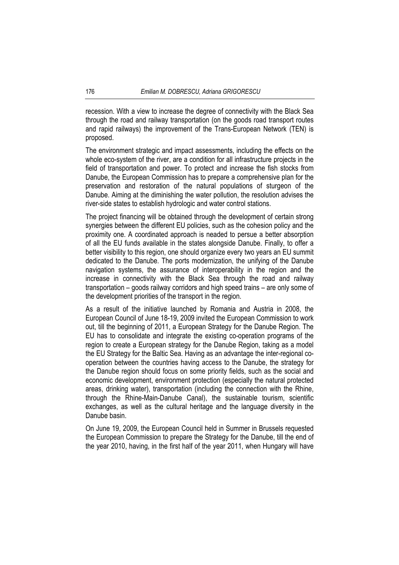recession. With a view to increase the degree of connectivity with the Black Sea through the road and railway transportation (on the goods road transport routes and rapid railways) the improvement of the Trans-European Network (TEN) is proposed.

The environment strategic and impact assessments, including the effects on the whole eco-system of the river, are a condition for all infrastructure projects in the field of transportation and power. To protect and increase the fish stocks from Danube, the European Commission has to prepare a comprehensive plan for the preservation and restoration of the natural populations of sturgeon of the Danube. Aiming at the diminishing the water pollution, the resolution advises the river-side states to establish hydrologic and water control stations.

The project financing will be obtained through the development of certain strong synergies between the different EU policies, such as the cohesion policy and the proximity one. A coordinated approach is neaded to persue a better absorption of all the EU funds available in the states alongside Danube. Finally, to offer a better visibility to this region, one should organize every two years an EU summit dedicated to the Danube. The ports modernization, the unifying of the Danube navigation systems, the assurance of interoperability in the region and the increase in connectivity with the Black Sea through the road and railway transportation – goods railway corridors and high speed trains – are only some of the development priorities of the transport in the region.

As a result of the initiative launched by Romania and Austria in 2008, the European Council of June 18-19, 2009 invited the European Commission to work out, till the beginning of 2011, a European Strategy for the Danube Region. The EU has to consolidate and integrate the existing co-operation programs of the region to create a European strategy for the Danube Region, taking as a model the EU Strategy for the Baltic Sea. Having as an advantage the inter-regional cooperation between the countries having access to the Danube, the strategy for the Danube region should focus on some priority fields, such as the social and economic development, environment protection (especially the natural protected areas, drinking water), transportation (including the connection with the Rhine, through the Rhine-Main-Danube Canal), the sustainable tourism, scientific exchanges, as well as the cultural heritage and the language diversity in the Danube basin.

On June 19, 2009, the European Council held in Summer in Brussels requested the European Commission to prepare the Strategy for the Danube, till the end of the year 2010, having, in the first half of the year 2011, when Hungary will have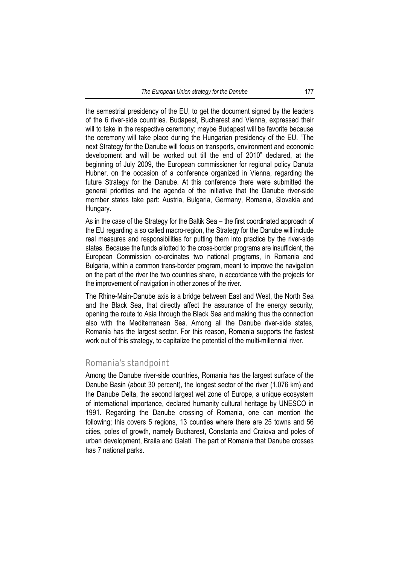the semestrial presidency of the EU, to get the document signed by the leaders of the 6 river-side countries. Budapest, Bucharest and Vienna, expressed their will to take in the respective ceremony; maybe Budapest will be favorite because the ceremony will take place during the Hungarian presidency of the EU. "The next Strategy for the Danube will focus on transports, environment and economic development and will be worked out till the end of 2010" declared, at the beginning of July 2009, the European commissioner for regional policy Danuta Hubner, on the occasion of a conference organized in Vienna, regarding the future Strategy for the Danube. At this conference there were submitted the general priorities and the agenda of the initiative that the Danube river-side member states take part: Austria, Bulgaria, Germany, Romania, Slovakia and Hungary.

As in the case of the Strategy for the Baltik Sea – the first coordinated approach of the EU regarding a so called macro-region, the Strategy for the Danube will include real measures and responsibilities for putting them into practice by the river-side states. Because the funds allotted to the cross-border programs are insufficient, the European Commission co-ordinates two national programs, in Romania and Bulgaria, within a common trans-border program, meant to improve the navigation on the part of the river the two countries share, in accordance with the projects for the improvement of navigation in other zones of the river.

The Rhine-Main-Danube axis is a bridge between East and West, the North Sea and the Black Sea, that directly affect the assurance of the energy security, opening the route to Asia through the Black Sea and making thus the connection also with the Mediterranean Sea. Among all the Danube river-side states, Romania has the largest sector. For this reason, Romania supports the fastest work out of this strategy, to capitalize the potential of the multi-millennial river.

## Romania's standpoint

Among the Danube river-side countries, Romania has the largest surface of the Danube Basin (about 30 percent), the longest sector of the river (1,076 km) and the Danube Delta, the second largest wet zone of Europe, a unique ecosystem of international importance, declared humanity cultural heritage by UNESCO in 1991. Regarding the Danube crossing of Romania, one can mention the following; this covers 5 regions, 13 counties where there are 25 towns and 56 cities, poles of growth, namely Bucharest, Constanta and Craiova and poles of urban development, Braila and Galati. The part of Romania that Danube crosses has 7 national parks.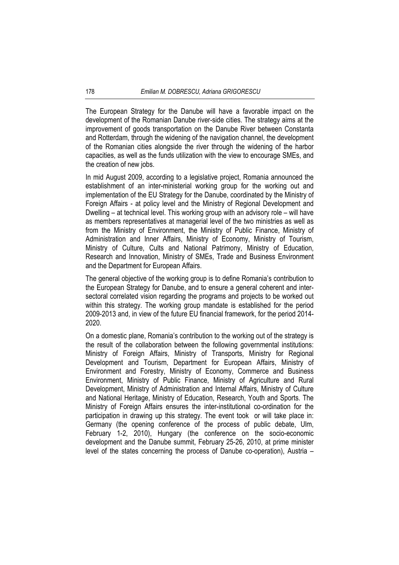The European Strategy for the Danube will have a favorable impact on the development of the Romanian Danube river-side cities. The strategy aims at the improvement of goods transportation on the Danube River between Constanta and Rotterdam, through the widening of the navigation channel, the development of the Romanian cities alongside the river through the widening of the harbor capacities, as well as the funds utilization with the view to encourage SMEs, and the creation of new jobs.

In mid August 2009, according to a legislative project, Romania announced the establishment of an inter-ministerial working group for the working out and implementation of the EU Strategy for the Danube, coordinated by the Ministry of Foreign Affairs - at policy level and the Ministry of Regional Development and Dwelling – at technical level. This working group with an advisory role – will have as members representatives at managerial level of the two ministries as well as from the Ministry of Environment, the Ministry of Public Finance, Ministry of Administration and Inner Affairs, Ministry of Economy, Ministry of Tourism, Ministry of Culture, Cults and National Patrimony, Ministry of Education, Research and Innovation, Ministry of SMEs, Trade and Business Environment and the Department for European Affairs.

The general objective of the working group is to define Romania's contribution to the European Strategy for Danube, and to ensure a general coherent and intersectoral correlated vision regarding the programs and projects to be worked out within this strategy. The working group mandate is established for the period 2009-2013 and, in view of the future EU financial framework, for the period 2014- 2020.

On a domestic plane, Romania's contribution to the working out of the strategy is the result of the collaboration between the following governmental institutions: Ministry of Foreign Affairs, Ministry of Transports, Ministry for Regional Development and Tourism, Department for European Affairs, Ministry of Environment and Forestry, Ministry of Economy, Commerce and Business Environment, Ministry of Public Finance, Ministry of Agriculture and Rural Development, Ministry of Administration and Internal Affairs, Ministry of Culture and National Heritage, Ministry of Education, Research, Youth and Sports. The Ministry of Foreign Affairs ensures the inter-institutional co-ordination for the participation in drawing up this strategy. The event took or will take place in: Germany (the opening conference of the process of public debate, Ulm, February 1-2, 2010), Hungary (the conference on the socio-economic development and the Danube summit, February 25-26, 2010, at prime minister level of the states concerning the process of Danube co-operation), Austria –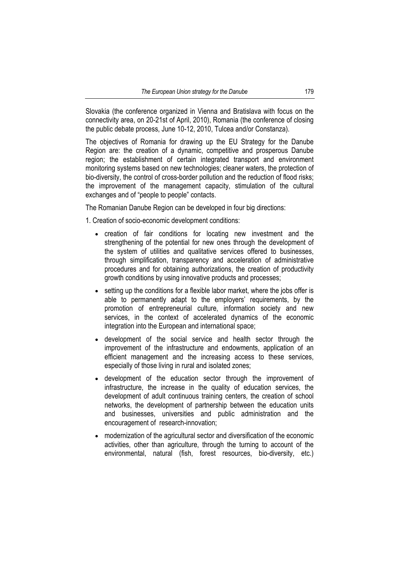Slovakia (the conference organized in Vienna and Bratislava with focus on the connectivity area, on 20-21st of April, 2010), Romania (the conference of closing the public debate process, June 10-12, 2010, Tulcea and/or Constanza).

The objectives of Romania for drawing up the EU Strategy for the Danube Region are: the creation of a dynamic, competitive and prosperous Danube region; the establishment of certain integrated transport and environment monitoring systems based on new technologies; cleaner waters, the protection of bio-diversity, the control of cross-border pollution and the reduction of flood risks; the improvement of the management capacity, stimulation of the cultural exchanges and of "people to people" contacts.

The Romanian Danube Region can be developed in four big directions:

1. Creation of socio-economic development conditions:

- creation of fair conditions for locating new investment and the strengthening of the potential for new ones through the development of the system of utilities and qualitative services offered to businesses, through simplification, transparency and acceleration of administrative procedures and for obtaining authorizations, the creation of productivity growth conditions by using innovative products and processes;
- setting up the conditions for a flexible labor market, where the jobs offer is able to permanently adapt to the employers' requirements, by the promotion of entrepreneurial culture, information society and new services, in the context of accelerated dynamics of the economic integration into the European and international space;
- development of the social service and health sector through the improvement of the infrastructure and endowments, application of an efficient management and the increasing access to these services, especially of those living in rural and isolated zones;
- development of the education sector through the improvement of infrastructure, the increase in the quality of education services, the development of adult continuous training centers, the creation of school networks, the development of partnership between the education units and businesses, universities and public administration and the encouragement of research-innovation;
- modernization of the agricultural sector and diversification of the economic activities, other than agriculture, through the turning to account of the environmental, natural (fish, forest resources, bio-diversity, etc.)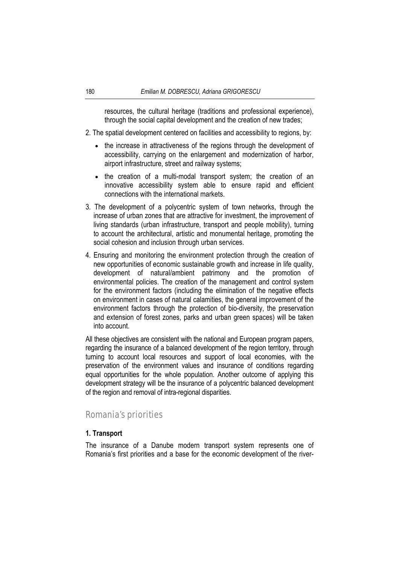resources, the cultural heritage (traditions and professional experience), through the social capital development and the creation of new trades;

- 2. The spatial development centered on facilities and accessibility to regions, by:
	- the increase in attractiveness of the regions through the development of accessibility, carrying on the enlargement and modernization of harbor, airport infrastructure, street and railway systems;
	- the creation of a multi-modal transport system; the creation of an innovative accessibility system able to ensure rapid and efficient connections with the international markets.
- 3. The development of a polycentric system of town networks, through the increase of urban zones that are attractive for investment, the improvement of living standards (urban infrastructure, transport and people mobility), turning to account the architectural, artistic and monumental heritage, promoting the social cohesion and inclusion through urban services.
- 4. Ensuring and monitoring the environment protection through the creation of new opportunities of economic sustainable growth and increase in life quality, development of natural/ambient patrimony and the promotion of environmental policies. The creation of the management and control system for the environment factors (including the elimination of the negative effects on environment in cases of natural calamities, the general improvement of the environment factors through the protection of bio-diversity, the preservation and extension of forest zones, parks and urban green spaces) will be taken into account.

All these objectives are consistent with the national and European program papers, regarding the insurance of a balanced development of the region territory, through turning to account local resources and support of local economies, with the preservation of the environment values and insurance of conditions regarding equal opportunities for the whole population. Another outcome of applying this development strategy will be the insurance of a polycentric balanced development of the region and removal of intra-regional disparities.

## Romania's priorities

#### **1. Transport**

The insurance of a Danube modern transport system represents one of Romania's first priorities and a base for the economic development of the river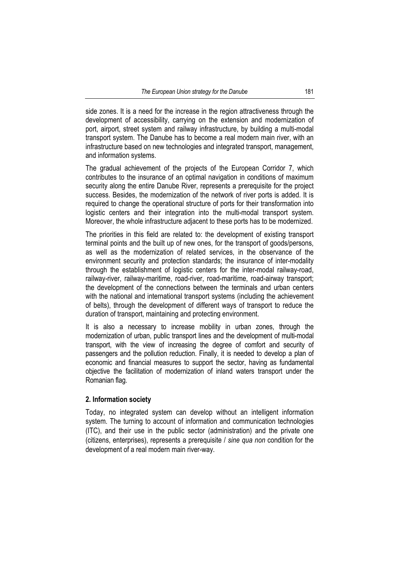side zones. It is a need for the increase in the region attractiveness through the development of accessibility, carrying on the extension and modernization of port, airport, street system and railway infrastructure, by building a multi-modal transport system. The Danube has to become a real modern main river, with an infrastructure based on new technologies and integrated transport, management, and information systems.

The gradual achievement of the projects of the European Corridor 7, which contributes to the insurance of an optimal navigation in conditions of maximum security along the entire Danube River, represents a prerequisite for the project success. Besides, the modernization of the network of river ports is added. It is required to change the operational structure of ports for their transformation into logistic centers and their integration into the multi-modal transport system. Moreover, the whole infrastructure adjacent to these ports has to be modernized.

The priorities in this field are related to: the development of existing transport terminal points and the built up of new ones, for the transport of goods/persons, as well as the modernization of related services, in the observance of the environment security and protection standards; the insurance of inter-modality through the establishment of logistic centers for the inter-modal railway-road, railway-river, railway-maritime, road-river, road-maritime, road-airway transport; the development of the connections between the terminals and urban centers with the national and international transport systems (including the achievement of belts), through the development of different ways of transport to reduce the duration of transport, maintaining and protecting environment.

It is also a necessary to increase mobility in urban zones, through the modernization of urban, public transport lines and the development of multi-modal transport, with the view of increasing the degree of comfort and security of passengers and the pollution reduction. Finally, it is needed to develop a plan of economic and financial measures to support the sector, having as fundamental objective the facilitation of modernization of inland waters transport under the Romanian flag.

#### **2. Information society**

Today, no integrated system can develop without an intelligent information system. The turning to account of information and communication technologies (ITC), and their use in the public sector (administration) and the private one (citizens, enterprises), represents a prerequisite / *sine qua non* condition for the development of a real modern main river-way.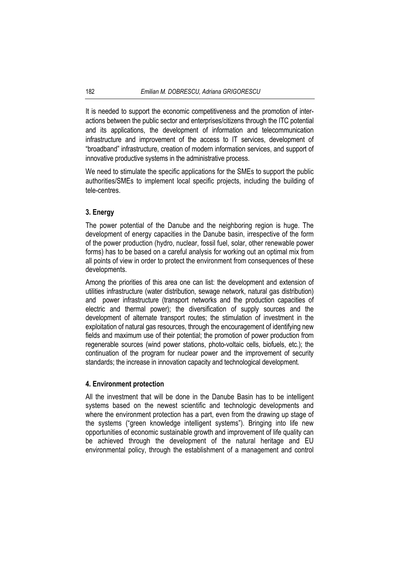It is needed to support the economic competitiveness and the promotion of interactions between the public sector and enterprises/citizens through the ITC potential and its applications, the development of information and telecommunication infrastructure and improvement of the access to IT services, development of "broadband" infrastructure, creation of modern information services, and support of innovative productive systems in the administrative process.

We need to stimulate the specific applications for the SMEs to support the public authorities/SMEs to implement local specific projects, including the building of tele-centres.

#### **3. Energy**

The power potential of the Danube and the neighboring region is huge. The development of energy capacities in the Danube basin, irrespective of the form of the power production (hydro, nuclear, fossil fuel, solar, other renewable power forms) has to be based on a careful analysis for working out an optimal mix from all points of view in order to protect the environment from consequences of these developments.

Among the priorities of this area one can list: the development and extension of utilities infrastructure (water distribution, sewage network, natural gas distribution) and power infrastructure (transport networks and the production capacities of electric and thermal power); the diversification of supply sources and the development of alternate transport routes; the stimulation of investment in the exploitation of natural gas resources, through the encouragement of identifying new fields and maximum use of their potential; the promotion of power production from regenerable sources (wind power stations, photo-voltaic cells, biofuels, etc.); the continuation of the program for nuclear power and the improvement of security standards; the increase in innovation capacity and technological development.

#### **4. Environment protection**

All the investment that will be done in the Danube Basin has to be intelligent systems based on the newest scientific and technologic developments and where the environment protection has a part, even from the drawing up stage of the systems ("green knowledge intelligent systems"). Bringing into life new opportunities of economic sustainable growth and improvement of life quality can be achieved through the development of the natural heritage and EU environmental policy, through the establishment of a management and control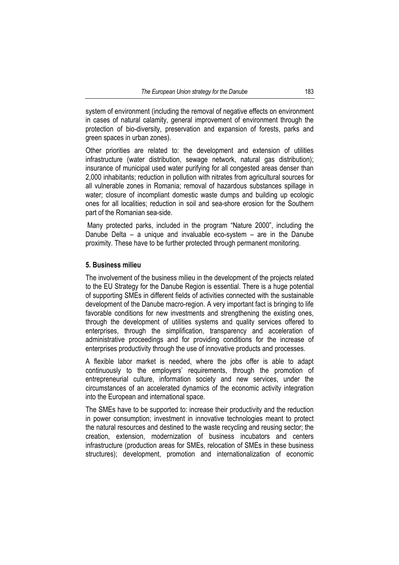system of environment (including the removal of negative effects on environment in cases of natural calamity, general improvement of environment through the protection of bio-diversity, preservation and expansion of forests, parks and green spaces in urban zones).

Other priorities are related to: the development and extension of utilities infrastructure (water distribution, sewage network, natural gas distribution); insurance of municipal used water purifying for all congested areas denser than 2,000 inhabitants; reduction in pollution with nitrates from agricultural sources for all vulnerable zones in Romania; removal of hazardous substances spillage in water; closure of incompliant domestic waste dumps and building up ecologic ones for all localities; reduction in soil and sea-shore erosion for the Southern part of the Romanian sea-side.

 Many protected parks, included in the program "Nature 2000", including the Danube Delta – a unique and invaluable eco-system – are in the Danube proximity. These have to be further protected through permanent monitoring.

#### **5. Business milieu**

The involvement of the business milieu in the development of the projects related to the EU Strategy for the Danube Region is essential. There is a huge potential of supporting SMEs in different fields of activities connected with the sustainable development of the Danube macro-region. A very important fact is bringing to life favorable conditions for new investments and strengthening the existing ones, through the development of utilities systems and quality services offered to enterprises, through the simplification, transparency and acceleration of administrative proceedings and for providing conditions for the increase of enterprises productivity through the use of innovative products and processes.

A flexible labor market is needed, where the jobs offer is able to adapt continuously to the employers' requirements, through the promotion of entrepreneurial culture, information society and new services, under the circumstances of an accelerated dynamics of the economic activity integration into the European and international space.

The SMEs have to be supported to: increase their productivity and the reduction in power consumption; investment in innovative technologies meant to protect the natural resources and destined to the waste recycling and reusing sector; the creation, extension, modernization of business incubators and centers infrastructure (production areas for SMEs, relocation of SMEs in these business structures); development, promotion and internationalization of economic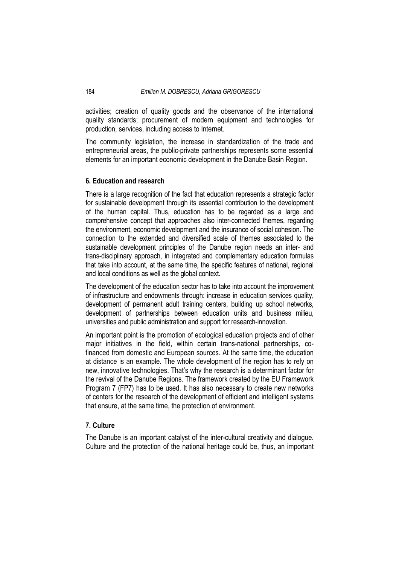activities; creation of quality goods and the observance of the international quality standards; procurement of modern equipment and technologies for production, services, including access to Internet.

The community legislation, the increase in standardization of the trade and entrepreneurial areas, the public-private partnerships represents some essential elements for an important economic development in the Danube Basin Region.

#### **6. Education and research**

There is a large recognition of the fact that education represents a strategic factor for sustainable development through its essential contribution to the development of the human capital. Thus, education has to be regarded as a large and comprehensive concept that approaches also inter-connected themes, regarding the environment, economic development and the insurance of social cohesion. The connection to the extended and diversified scale of themes associated to the sustainable development principles of the Danube region needs an inter- and trans-disciplinary approach, in integrated and complementary education formulas that take into account, at the same time, the specific features of national, regional and local conditions as well as the global context.

The development of the education sector has to take into account the improvement of infrastructure and endowments through: increase in education services quality, development of permanent adult training centers, building up school networks, development of partnerships between education units and business milieu, universities and public administration and support for research-innovation.

An important point is the promotion of ecological education projects and of other major initiatives in the field, within certain trans-national partnerships, cofinanced from domestic and European sources. At the same time, the education at distance is an example. The whole development of the region has to rely on new, innovative technologies. That's why the research is a determinant factor for the revival of the Danube Regions. The framework created by the EU Framework Program 7 (FP7) has to be used. It has also necessary to create new networks of centers for the research of the development of efficient and intelligent systems that ensure, at the same time, the protection of environment.

#### **7. Culture**

The Danube is an important catalyst of the inter-cultural creativity and dialogue. Culture and the protection of the national heritage could be, thus, an important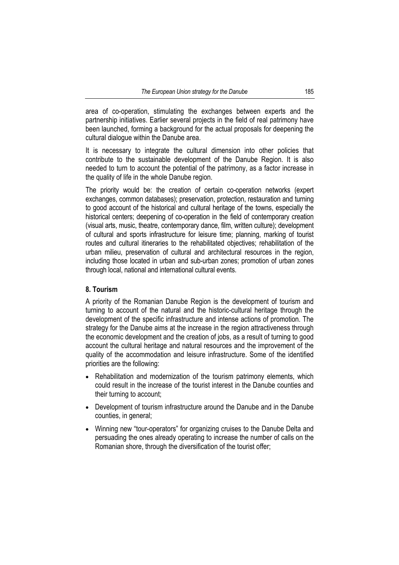area of co-operation, stimulating the exchanges between experts and the partnership initiatives. Earlier several projects in the field of real patrimony have been launched, forming a background for the actual proposals for deepening the cultural dialogue within the Danube area.

It is necessary to integrate the cultural dimension into other policies that contribute to the sustainable development of the Danube Region. It is also needed to turn to account the potential of the patrimony, as a factor increase in the quality of life in the whole Danube region.

The priority would be: the creation of certain co-operation networks (expert exchanges, common databases); preservation, protection, restauration and turning to good account of the historical and cultural heritage of the towns, especially the historical centers; deepening of co-operation in the field of contemporary creation (visual arts, music, theatre, contemporary dance, film, written culture); development of cultural and sports infrastructure for leisure time; planning, marking of tourist routes and cultural itineraries to the rehabilitated objectives; rehabilitation of the urban milieu, preservation of cultural and architectural resources in the region, including those located in urban and sub-urban zones; promotion of urban zones through local, national and international cultural events.

#### **8. Tourism**

A priority of the Romanian Danube Region is the development of tourism and turning to account of the natural and the historic-cultural heritage through the development of the specific infrastructure and intense actions of promotion. The strategy for the Danube aims at the increase in the region attractiveness through the economic development and the creation of jobs, as a result of turning to good account the cultural heritage and natural resources and the improvement of the quality of the accommodation and leisure infrastructure. Some of the identified priorities are the following:

- Rehabilitation and modernization of the tourism patrimony elements, which could result in the increase of the tourist interest in the Danube counties and their turning to account;
- Development of tourism infrastructure around the Danube and in the Danube counties, in general;
- Winning new "tour-operators" for organizing cruises to the Danube Delta and persuading the ones already operating to increase the number of calls on the Romanian shore, through the diversification of the tourist offer;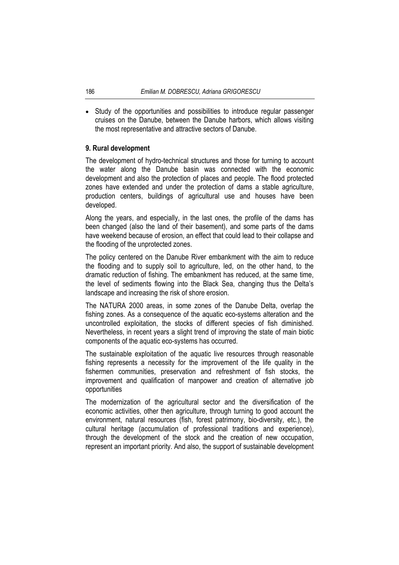• Study of the opportunities and possibilities to introduce regular passenger cruises on the Danube, between the Danube harbors, which allows visiting the most representative and attractive sectors of Danube.

#### **9. Rural development**

The development of hydro-technical structures and those for turning to account the water along the Danube basin was connected with the economic development and also the protection of places and people. The flood protected zones have extended and under the protection of dams a stable agriculture, production centers, buildings of agricultural use and houses have been developed.

Along the years, and especially, in the last ones, the profile of the dams has been changed (also the land of their basement), and some parts of the dams have weekend because of erosion, an effect that could lead to their collapse and the flooding of the unprotected zones.

The policy centered on the Danube River embankment with the aim to reduce the flooding and to supply soil to agriculture, led, on the other hand, to the dramatic reduction of fishing. The embankment has reduced, at the same time, the level of sediments flowing into the Black Sea, changing thus the Delta's landscape and increasing the risk of shore erosion.

The NATURA 2000 areas, in some zones of the Danube Delta, overlap the fishing zones. As a consequence of the aquatic eco-systems alteration and the uncontrolled exploitation, the stocks of different species of fish diminished. Nevertheless, in recent years a slight trend of improving the state of main biotic components of the aquatic eco-systems has occurred.

The sustainable exploitation of the aquatic live resources through reasonable fishing represents a necessity for the improvement of the life quality in the fishermen communities, preservation and refreshment of fish stocks, the improvement and qualification of manpower and creation of alternative job opportunities

The modernization of the agricultural sector and the diversification of the economic activities, other then agriculture, through turning to good account the environment, natural resources (fish, forest patrimony, bio-diversity, etc.), the cultural heritage (accumulation of professional traditions and experience), through the development of the stock and the creation of new occupation, represent an important priority. And also, the support of sustainable development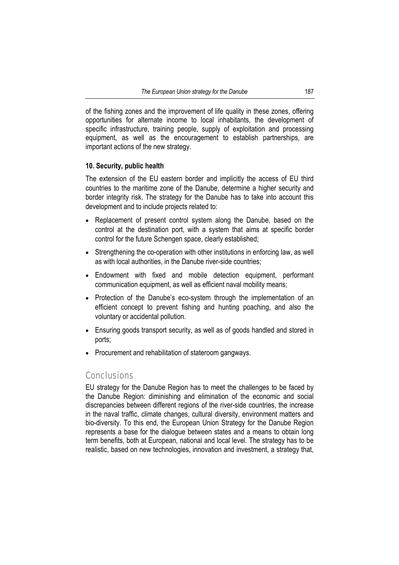of the fishing zones and the improvement of life quality in these zones, offering opportunities for alternate income to local inhabitants, the development of specific infrastructure, training people, supply of exploitation and processing equipment, as well as the encouragement to establish partnerships, are important actions of the new strategy.

#### **10. Security, public health**

The extension of the EU eastern border and implicitly the access of EU third countries to the maritime zone of the Danube, determine a higher security and border integrity risk. The strategy for the Danube has to take into account this development and to include projects related to:

- Replacement of present control system along the Danube, based on the control at the destination port, with a system that aims at specific border control for the future Schengen space, clearly established;
- Strengthening the co-operation with other institutions in enforcing law, as well as with local authorities, in the Danube river-side countries;
- Endowment with fixed and mobile detection equipment, performant communication equipment, as well as efficient naval mobility means;
- Protection of the Danube's eco-system through the implementation of an efficient concept to prevent fishing and hunting poaching, and also the voluntary or accidental pollution.
- Ensuring goods transport security, as well as of goods handled and stored in ports;
- Procurement and rehabilitation of stateroom gangways.

#### **Conclusions**

EU strategy for the Danube Region has to meet the challenges to be faced by the Danube Region: diminishing and elimination of the economic and social discrepancies between different regions of the river-side countries, the increase in the naval traffic, climate changes, cultural diversity, environment matters and bio-diversity. To this end, the European Union Strategy for the Danube Region represents a base for the dialogue between states and a means to obtain long term benefits, both at European, national and local level. The strategy has to be realistic, based on new technologies, innovation and investment, a strategy that,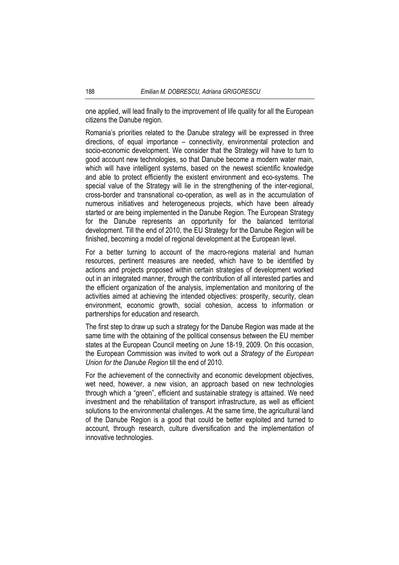one applied, will lead finally to the improvement of life quality for all the European citizens the Danube region.

Romania's priorities related to the Danube strategy will be expressed in three directions, of equal importance – connectivity, environmental protection and socio-economic development. We consider that the Strategy will have to turn to good account new technologies, so that Danube become a modern water main, which will have intelligent systems, based on the newest scientific knowledge and able to protect efficiently the existent environment and eco-systems. The special value of the Strategy will lie in the strengthening of the inter-regional, cross-border and transnational co-operation, as well as in the accumulation of numerous initiatives and heterogeneous projects, which have been already started or are being implemented in the Danube Region. The European Strategy for the Danube represents an opportunity for the balanced territorial development. Till the end of 2010, the EU Strategy for the Danube Region will be finished, becoming a model of regional development at the European level.

For a better turning to account of the macro-regions material and human resources, pertinent measures are needed, which have to be identified by actions and projects proposed within certain strategies of development worked out in an integrated manner, through the contribution of all interested parties and the efficient organization of the analysis, implementation and monitoring of the activities aimed at achieving the intended objectives: prosperity, security, clean environment, economic growth, social cohesion, access to information or partnerships for education and research.

The first step to draw up such a strategy for the Danube Region was made at the same time with the obtaining of the political consensus between the EU member states at the European Council meeting on June 18-19, 2009. On this occasion, the European Commission was invited to work out a *Strategy of the European Union for the Danube Region* till the end of 2010.

For the achievement of the connectivity and economic development objectives, wet need, however, a new vision, an approach based on new technologies through which a "green", efficient and sustainable strategy is attained. We need investment and the rehabilitation of transport infrastructure, as well as efficient solutions to the environmental challenges. At the same time, the agricultural land of the Danube Region is a good that could be better exploited and turned to account, through research, culture diversification and the implementation of innovative technologies.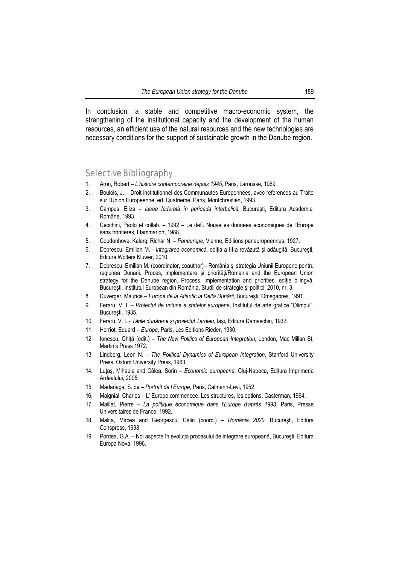In conclusion, a stable and competitive macro-economic system, the strengthening of the institutional capacity and the development of the human resources, an efficient use of the natural resources and the new technologies are necessary conditions for the support of sustainable growth in the Danube region.

# Selective Bibliography

- 1. Aron, Robert *L'histoire contemporaine depuis 1945*, Paris, Larousse, 1969.
- 2. Boulois, J. Droit institutionnel des Communautes Europennees, avec references au Traite sur l'Union Europeenne, ed. Quatrieme, Paris, Montchrestien, 1993.
- 3. Campus, Eliza *Ideea federală în perioada interbelică*, Bucureşti, Editura Academiei Române, 1993.
- 4. Cecchini, Paolo et collab. 1992 Le defi. Nouvelles donnees economiques de l'Europe sans frontieres, Flammarion, 1988.
- 5. Coudenhove, Kalergi Richar N. *Paneurope*, Vienne, Editions paneuropeennes, 1927.
- 6. Dobrescu, Emilian M. *Integrarea economică*, ediţia a III-a revăzută şi adăugită, Bucureşti, Editura Wolters Kluwer, 2010.
- 7. Dobrescu, Emilian M. (coordinator, coauthor) România şi strategia Uniunii Europene pentru regiunea Dunării. Proces, implementare și priorități/Romania and the European Union strategy for the Danube region. Process, implementation and priorities, editie bilingvă, Bucureşti, Institutul European din România, Studii de strategie şi politici, 2010, nr. 3.
- 8. Duverger, Maurice *Europa de la Atlantic la Delta Dunării*, Bucureşti, Omegapres, 1991.
- 9. Feraru, V. I. *Proiectul de uniune a statelor europene*, Institutul de arte grafice "Olimpul", Bucureşti, 1935.
- 10. Feraru, V. I. *Ţările dunărene şi proiectul Tardieu*, Iaşi, Editura Damaschin, 1932.
- 11. Herriot, Eduard *Europe*, Paris, Les Editions Rieder, 1930.
- 12. Ionescu, Ghiţă (edit.) *The New Politics of European Integration*, London, Mac Millan St. Martin's Press 1972.
- 13. Lindberg, Leon N. *The Political Dynamics of European Integration*, Stanford University Press, Oxford University Press, 1963.
- 14. Luţaş, Mihaela and Câlea, Sorin *Economie europeană*, Cluj-Napoca, Editura Imprimeria Ardealului, 2005.
- 15. Madariaga, S. de *Portrait de l'Europe*, Paris, Calmann-Levi, 1952.
- 16. Maignial, Charles L' Europe commencee. Les structures, les options, Casterman, 1964.
- 17. Maillet, Pierre *La politique économique dans l'Europe d'après 1993*, Paris, Presse Universitaires de France, 1992.
- 18. Maliţa, Mircea and Georgescu, Călin (coord.) *România 2020*, Bucureşti, Editura Conspress, 1998.
- 19. Pordea, G.A. Noi aspecte în evoluţia procesului de integrare europeană, Bucureşti, Editura Europa Nova, 1996.